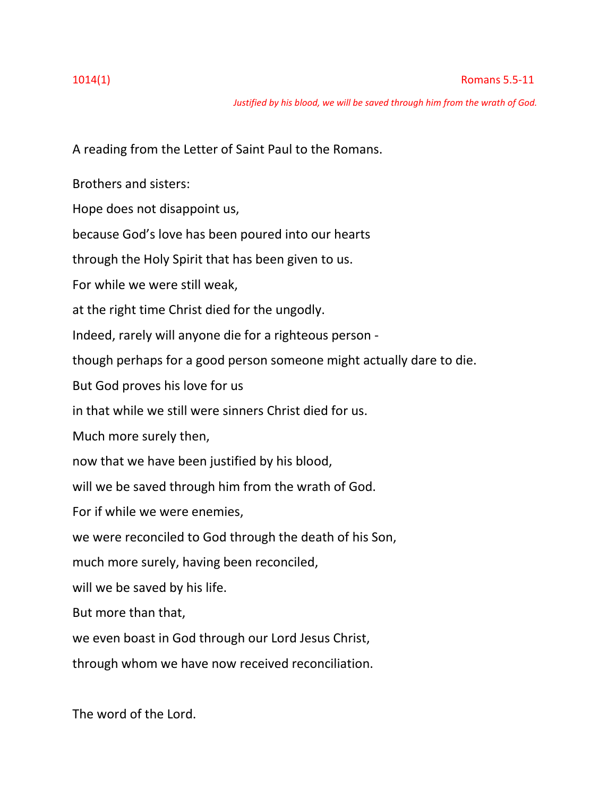*Justified by his blood, we will be saved through him from the wrath of God.*

A reading from the Letter of Saint Paul to the Romans.

Brothers and sisters:

Hope does not disappoint us,

because God's love has been poured into our hearts

through the Holy Spirit that has been given to us.

For while we were still weak,

at the right time Christ died for the ungodly.

Indeed, rarely will anyone die for a righteous person -

though perhaps for a good person someone might actually dare to die.

But God proves his love for us

in that while we still were sinners Christ died for us.

Much more surely then,

now that we have been justified by his blood,

will we be saved through him from the wrath of God.

For if while we were enemies,

we were reconciled to God through the death of his Son,

much more surely, having been reconciled,

will we be saved by his life.

But more than that,

we even boast in God through our Lord Jesus Christ,

through whom we have now received reconciliation.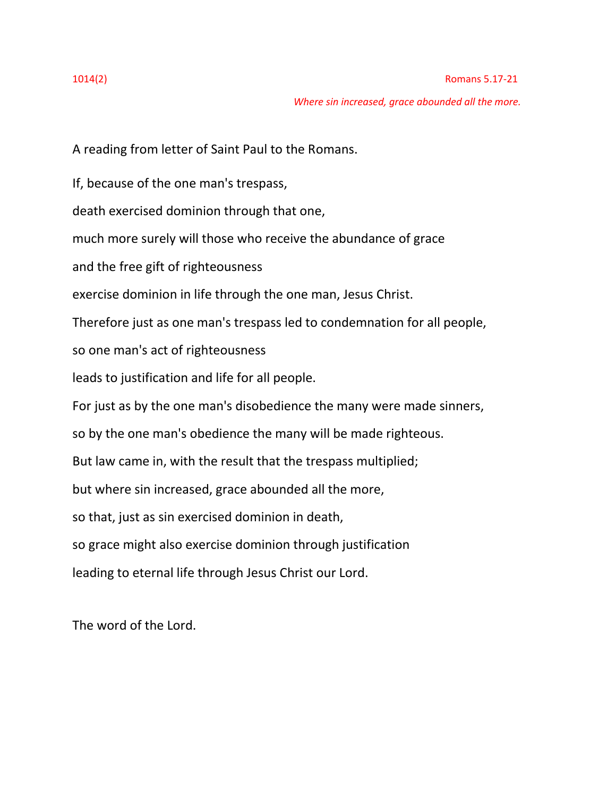### 1014(2) Romans 5.17-21

*Where sin increased, grace abounded all the more.*

A reading from letter of Saint Paul to the Romans.

If, because of the one man's trespass,

death exercised dominion through that one,

much more surely will those who receive the abundance of grace

and the free gift of righteousness

exercise dominion in life through the one man, Jesus Christ.

Therefore just as one man's trespass led to condemnation for all people,

so one man's act of righteousness

leads to justification and life for all people.

For just as by the one man's disobedience the many were made sinners,

so by the one man's obedience the many will be made righteous.

But law came in, with the result that the trespass multiplied;

but where sin increased, grace abounded all the more,

so that, just as sin exercised dominion in death,

so grace might also exercise dominion through justification

leading to eternal life through Jesus Christ our Lord.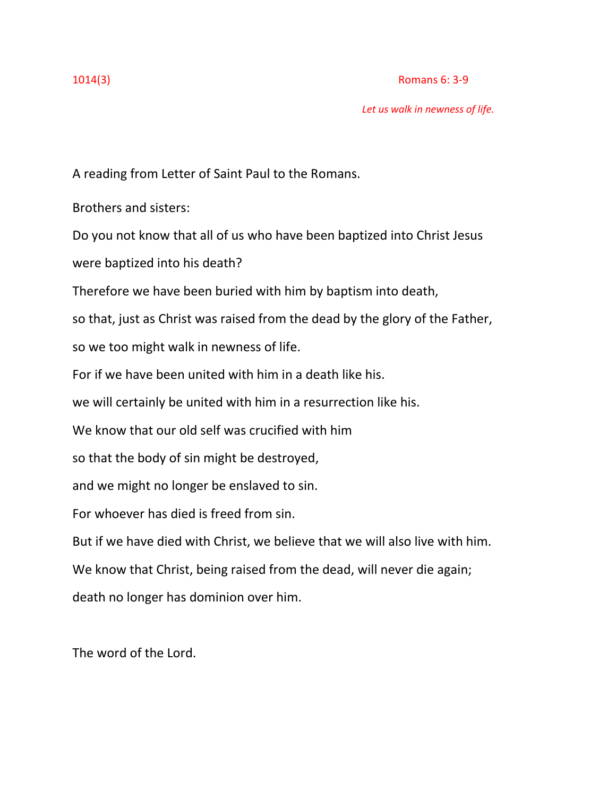### 1014(3) Romans 6: 3-9

*Let us walk in newness of life.*

A reading from Letter of Saint Paul to the Romans.

Brothers and sisters:

Do you not know that all of us who have been baptized into Christ Jesus were baptized into his death?

Therefore we have been buried with him by baptism into death,

so that, just as Christ was raised from the dead by the glory of the Father,

so we too might walk in newness of life.

For if we have been united with him in a death like his.

we will certainly be united with him in a resurrection like his.

We know that our old self was crucified with him

so that the body of sin might be destroyed,

and we might no longer be enslaved to sin.

For whoever has died is freed from sin.

But if we have died with Christ, we believe that we will also live with him.

We know that Christ, being raised from the dead, will never die again;

death no longer has dominion over him.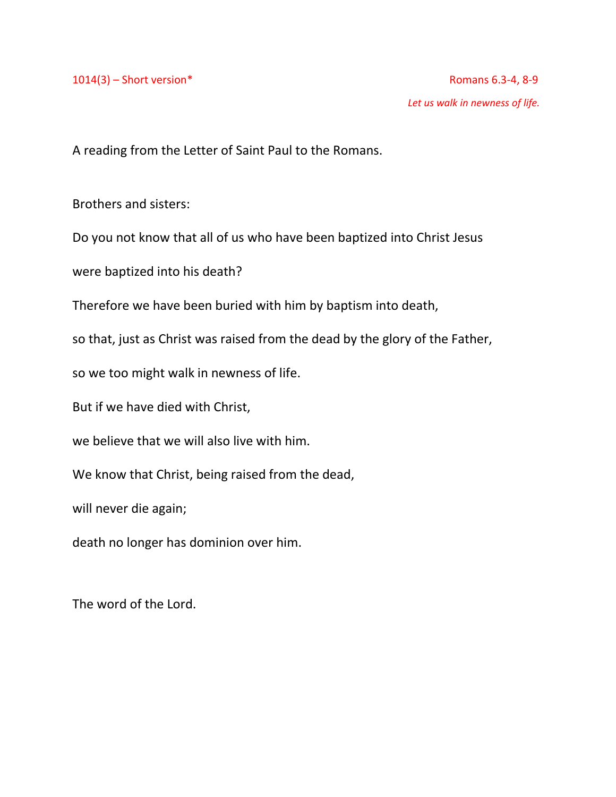A reading from the Letter of Saint Paul to the Romans.

Brothers and sisters:

Do you not know that all of us who have been baptized into Christ Jesus

were baptized into his death?

Therefore we have been buried with him by baptism into death,

so that, just as Christ was raised from the dead by the glory of the Father,

so we too might walk in newness of life.

But if we have died with Christ,

we believe that we will also live with him.

We know that Christ, being raised from the dead,

will never die again;

death no longer has dominion over him.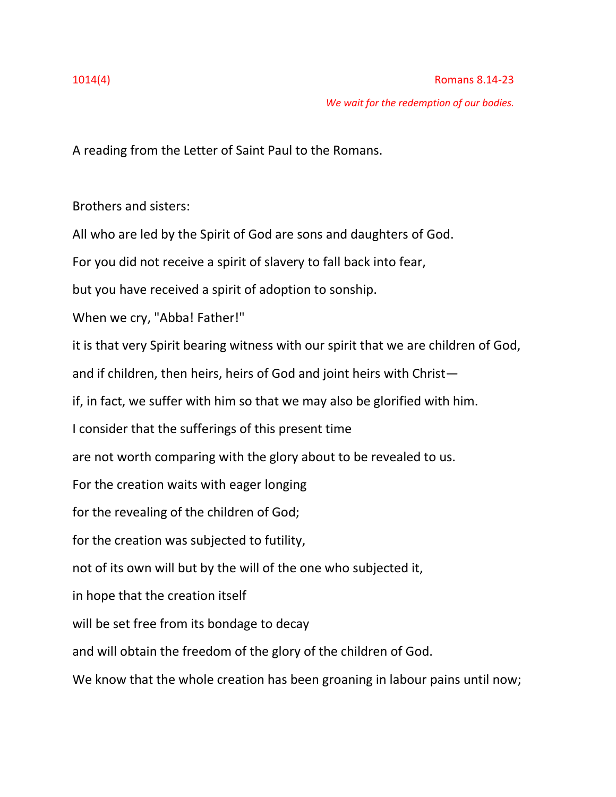# 1014(4) Romans 8.14-23

*We wait for the redemption of our bodies.*

A reading from the Letter of Saint Paul to the Romans.

Brothers and sisters:

All who are led by the Spirit of God are sons and daughters of God.

For you did not receive a spirit of slavery to fall back into fear,

but you have received a spirit of adoption to sonship.

When we cry, "Abba! Father!"

it is that very Spirit bearing witness with our spirit that we are children of God,

and if children, then heirs, heirs of God and joint heirs with Christ—

if, in fact, we suffer with him so that we may also be glorified with him.

I consider that the sufferings of this present time

are not worth comparing with the glory about to be revealed to us.

For the creation waits with eager longing

for the revealing of the children of God;

for the creation was subjected to futility,

not of its own will but by the will of the one who subjected it,

in hope that the creation itself

will be set free from its bondage to decay

and will obtain the freedom of the glory of the children of God.

We know that the whole creation has been groaning in labour pains until now;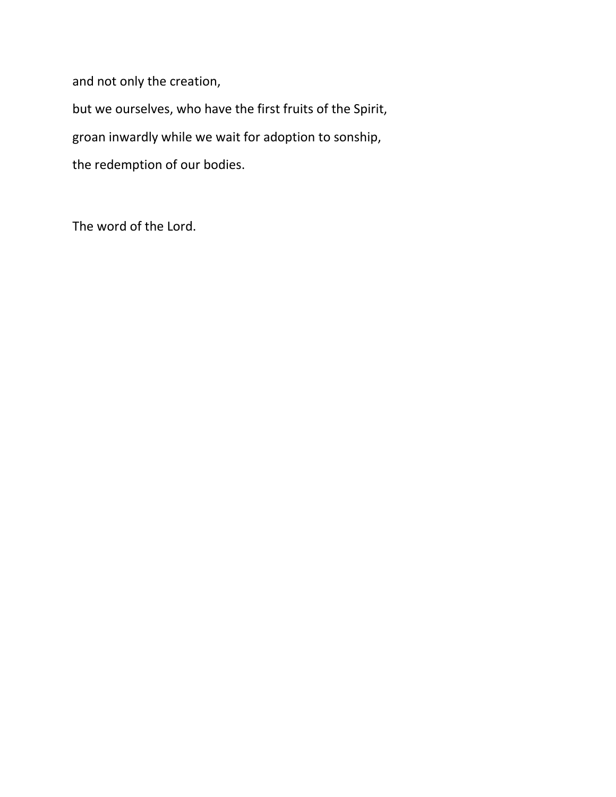and not only the creation,

but we ourselves, who have the first fruits of the Spirit, groan inwardly while we wait for adoption to sonship, the redemption of our bodies.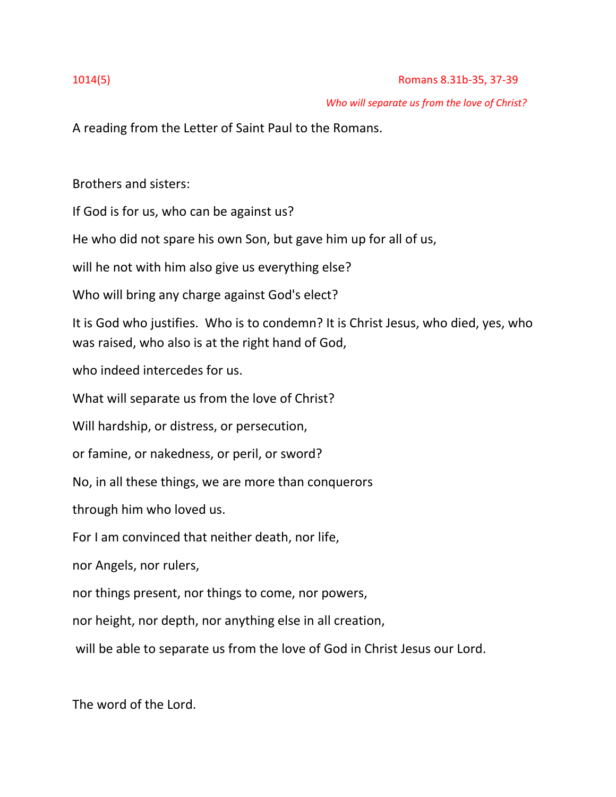# *Who will separate us from the love of Christ?*

A reading from the Letter of Saint Paul to the Romans.

Brothers and sisters:

If God is for us, who can be against us?

He who did not spare his own Son, but gave him up for all of us,

will he not with him also give us everything else?

Who will bring any charge against God's elect?

It is God who justifies. Who is to condemn? It is Christ Jesus, who died, yes, who was raised, who also is at the right hand of God,

who indeed intercedes for us.

What will separate us from the love of Christ?

Will hardship, or distress, or persecution,

or famine, or nakedness, or peril, or sword?

No, in all these things, we are more than conquerors

through him who loved us.

For I am convinced that neither death, nor life,

nor Angels, nor rulers,

nor things present, nor things to come, nor powers,

nor height, nor depth, nor anything else in all creation,

will be able to separate us from the love of God in Christ Jesus our Lord.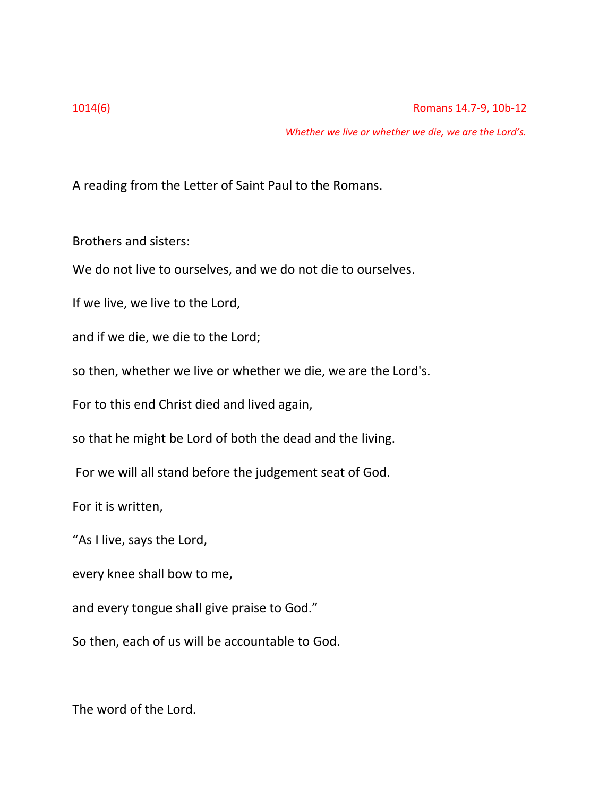*Whether we live or whether we die, we are the Lord's.*

A reading from the Letter of Saint Paul to the Romans.

Brothers and sisters:

We do not live to ourselves, and we do not die to ourselves.

If we live, we live to the Lord,

and if we die, we die to the Lord;

so then, whether we live or whether we die, we are the Lord's.

For to this end Christ died and lived again,

so that he might be Lord of both the dead and the living.

For we will all stand before the judgement seat of God.

For it is written,

"As I live, says the Lord,

every knee shall bow to me,

and every tongue shall give praise to God."

So then, each of us will be accountable to God.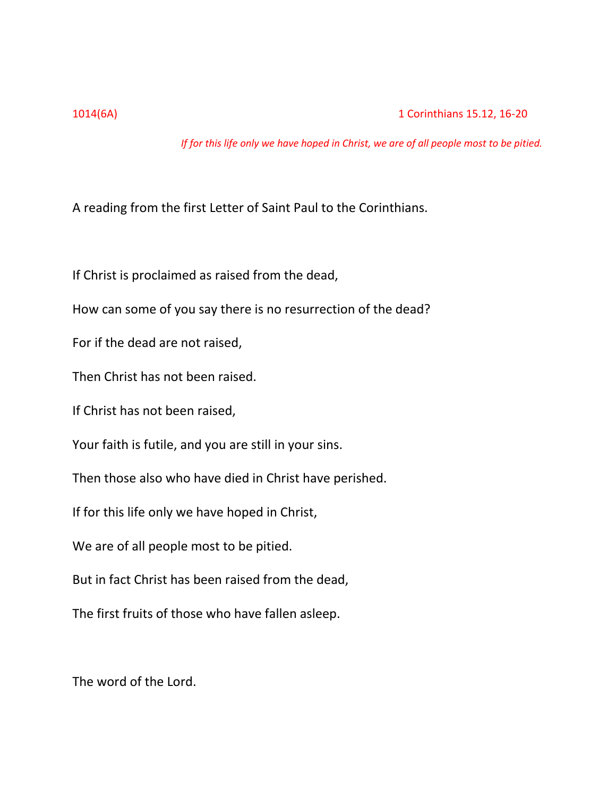*If for this life only we have hoped in Christ, we are of all people most to be pitied.*

A reading from the first Letter of Saint Paul to the Corinthians.

If Christ is proclaimed as raised from the dead,

How can some of you say there is no resurrection of the dead?

For if the dead are not raised,

Then Christ has not been raised.

If Christ has not been raised,

Your faith is futile, and you are still in your sins.

Then those also who have died in Christ have perished.

If for this life only we have hoped in Christ,

We are of all people most to be pitied.

But in fact Christ has been raised from the dead,

The first fruits of those who have fallen asleep.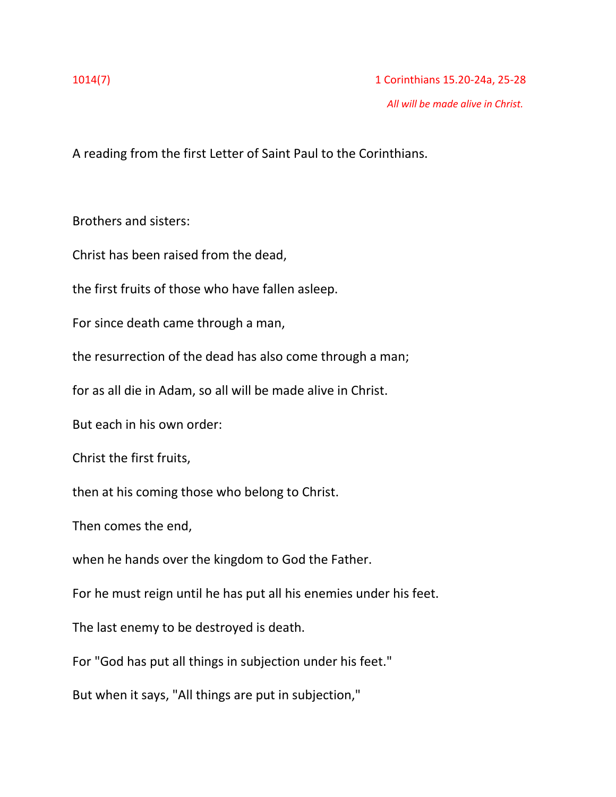A reading from the first Letter of Saint Paul to the Corinthians.

Brothers and sisters:

Christ has been raised from the dead,

the first fruits of those who have fallen asleep.

For since death came through a man,

the resurrection of the dead has also come through a man;

for as all die in Adam, so all will be made alive in Christ.

But each in his own order:

Christ the first fruits,

then at his coming those who belong to Christ.

Then comes the end,

when he hands over the kingdom to God the Father.

For he must reign until he has put all his enemies under his feet.

The last enemy to be destroyed is death.

For "God has put all things in subjection under his feet."

But when it says, "All things are put in subjection,"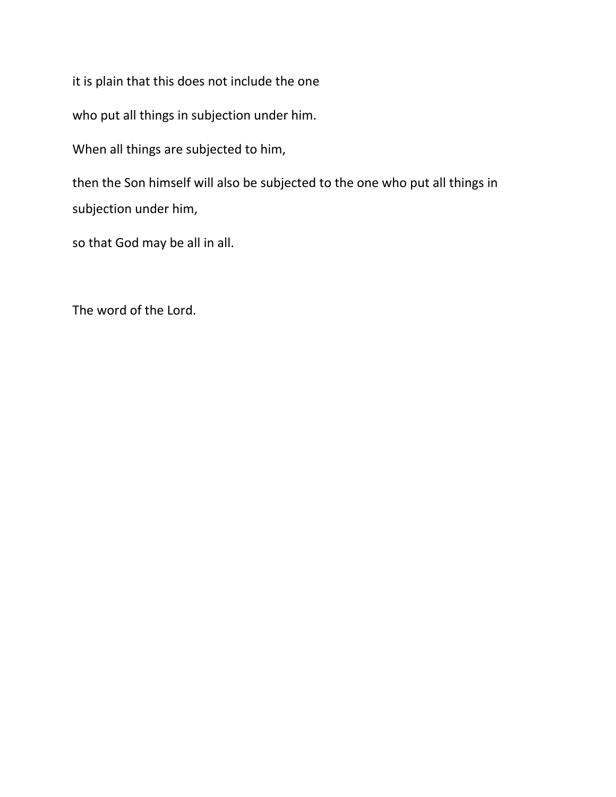it is plain that this does not include the one

who put all things in subjection under him.

When all things are subjected to him,

then the Son himself will also be subjected to the one who put all things in subjection under him,

so that God may be all in all.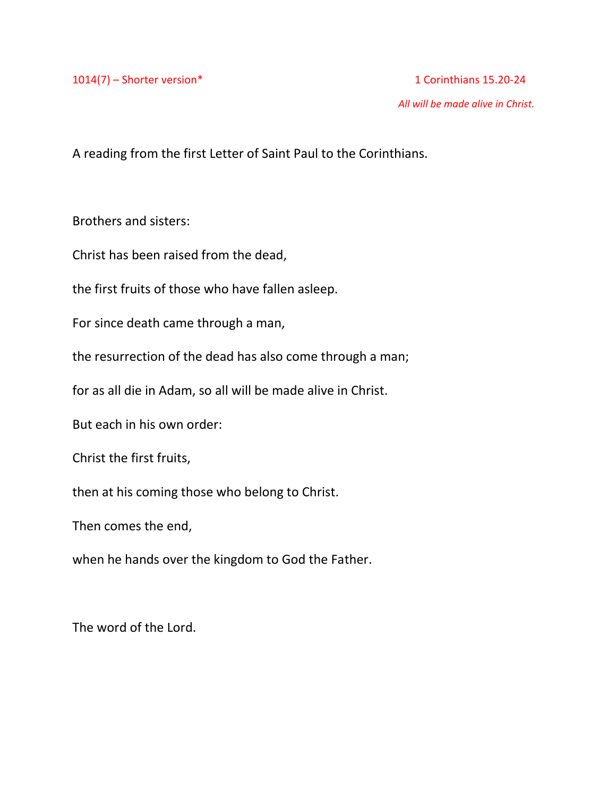1014(7) – Shorter version\* 1 Corinthians 15.20-24

*All will be made alive in Christ.*

A reading from the first Letter of Saint Paul to the Corinthians.

Brothers and sisters:

Christ has been raised from the dead,

the first fruits of those who have fallen asleep.

For since death came through a man,

the resurrection of the dead has also come through a man;

for as all die in Adam, so all will be made alive in Christ.

But each in his own order:

Christ the first fruits,

then at his coming those who belong to Christ.

Then comes the end,

when he hands over the kingdom to God the Father.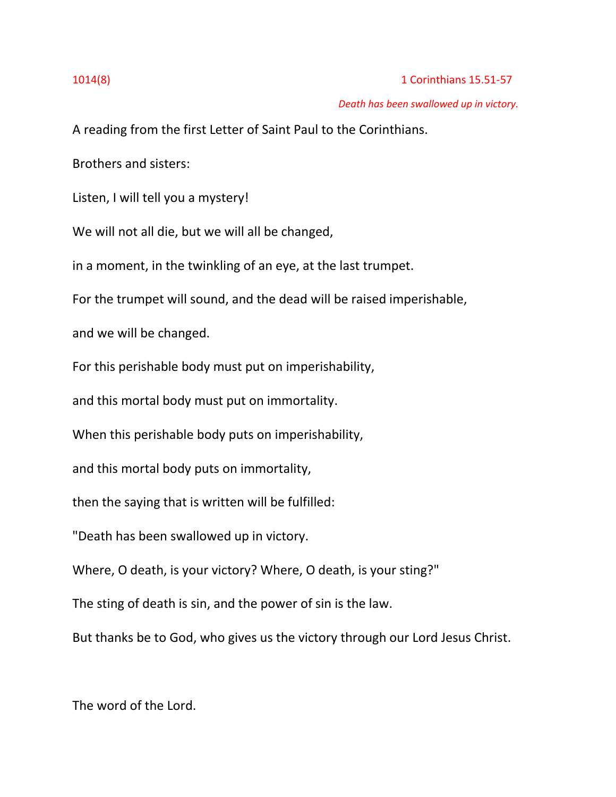# 1014(8) 1 Corinthians 15.51-57

### *Death has been swallowed up in victory.*

A reading from the first Letter of Saint Paul to the Corinthians.

Brothers and sisters:

Listen, I will tell you a mystery!

We will not all die, but we will all be changed,

in a moment, in the twinkling of an eye, at the last trumpet.

For the trumpet will sound, and the dead will be raised imperishable,

and we will be changed.

For this perishable body must put on imperishability,

and this mortal body must put on immortality.

When this perishable body puts on imperishability,

and this mortal body puts on immortality,

then the saying that is written will be fulfilled:

"Death has been swallowed up in victory.

Where, O death, is your victory? Where, O death, is your sting?"

The sting of death is sin, and the power of sin is the law.

But thanks be to God, who gives us the victory through our Lord Jesus Christ.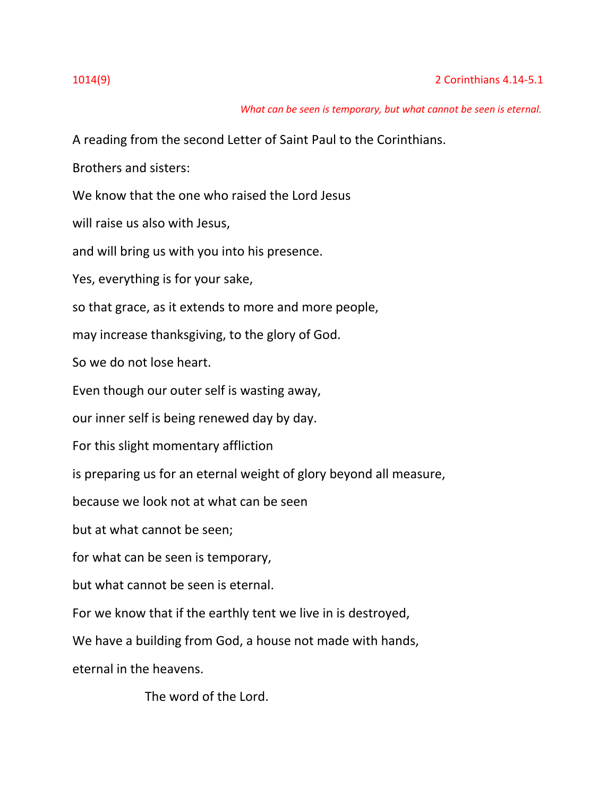# *What can be seen is temporary, but what cannot be seen is eternal.*

A reading from the second Letter of Saint Paul to the Corinthians.

Brothers and sisters:

We know that the one who raised the Lord Jesus

will raise us also with Jesus,

and will bring us with you into his presence.

Yes, everything is for your sake,

so that grace, as it extends to more and more people,

may increase thanksgiving, to the glory of God.

So we do not lose heart.

Even though our outer self is wasting away,

our inner self is being renewed day by day.

For this slight momentary affliction

is preparing us for an eternal weight of glory beyond all measure,

because we look not at what can be seen

but at what cannot be seen;

for what can be seen is temporary,

but what cannot be seen is eternal.

For we know that if the earthly tent we live in is destroyed,

We have a building from God, a house not made with hands,

eternal in the heavens.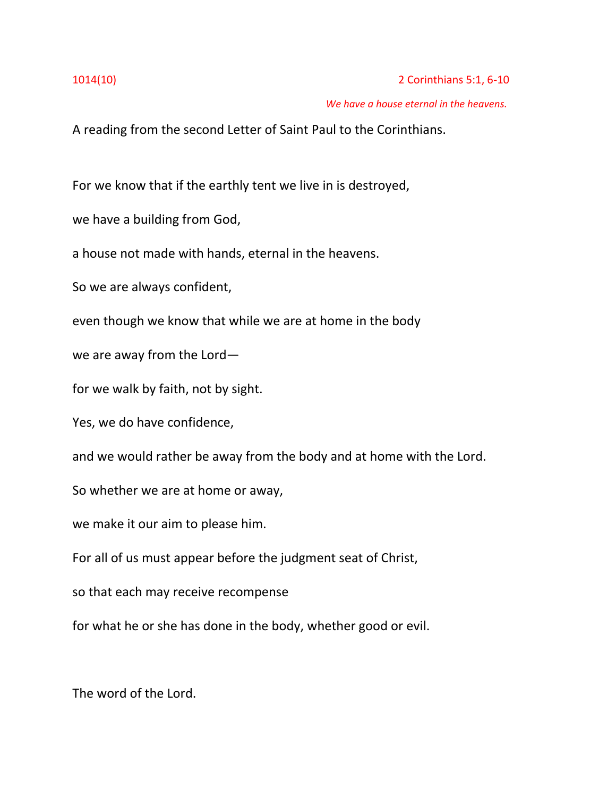### *We have a house eternal in the heavens.*

A reading from the second Letter of Saint Paul to the Corinthians.

For we know that if the earthly tent we live in is destroyed,

we have a building from God,

a house not made with hands, eternal in the heavens.

So we are always confident,

even though we know that while we are at home in the body

we are away from the Lord—

for we walk by faith, not by sight.

Yes, we do have confidence,

and we would rather be away from the body and at home with the Lord.

So whether we are at home or away,

we make it our aim to please him.

For all of us must appear before the judgment seat of Christ,

so that each may receive recompense

for what he or she has done in the body, whether good or evil.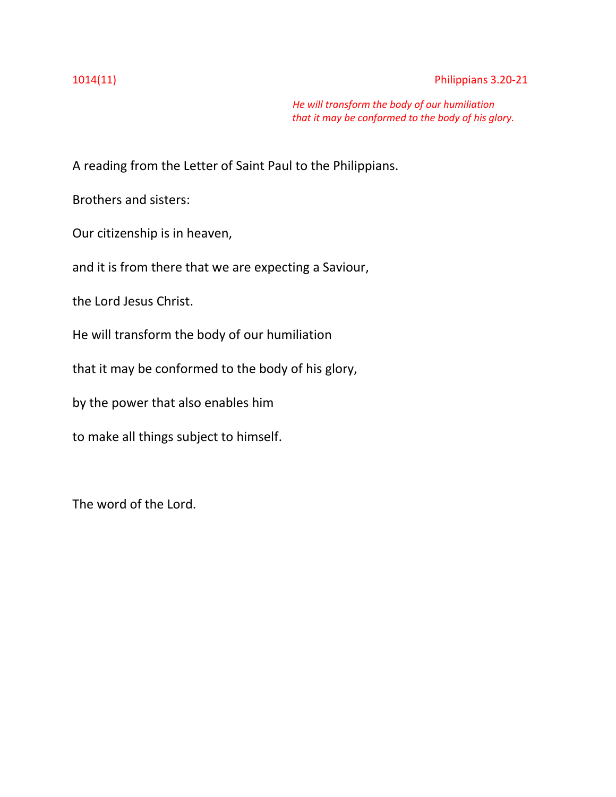### 1014(11) Philippians 3.20-21

 *He will transform the body of our humiliation that it may be conformed to the body of his glory.*

A reading from the Letter of Saint Paul to the Philippians.

Brothers and sisters:

Our citizenship is in heaven,

and it is from there that we are expecting a Saviour,

the Lord Jesus Christ.

He will transform the body of our humiliation

that it may be conformed to the body of his glory,

by the power that also enables him

to make all things subject to himself.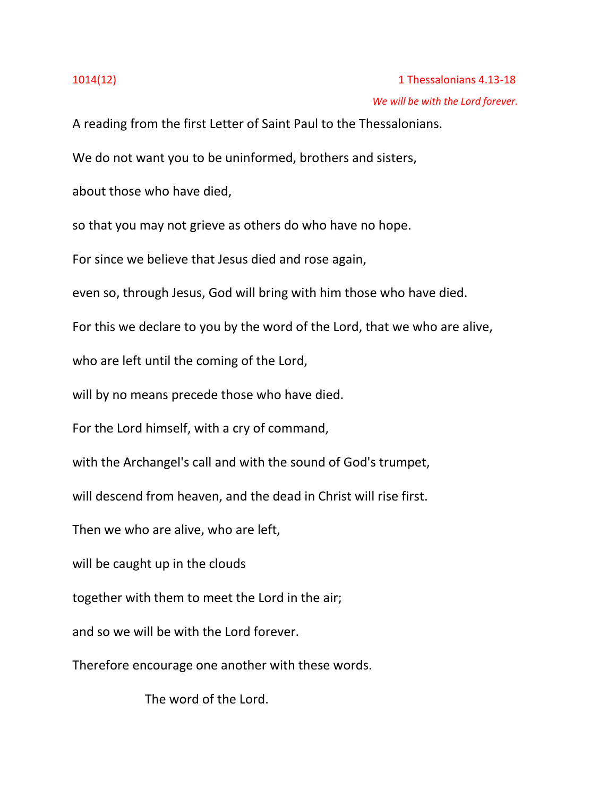A reading from the first Letter of Saint Paul to the Thessalonians.

We do not want you to be uninformed, brothers and sisters,

about those who have died,

so that you may not grieve as others do who have no hope.

For since we believe that Jesus died and rose again,

even so, through Jesus, God will bring with him those who have died.

For this we declare to you by the word of the Lord, that we who are alive,

who are left until the coming of the Lord,

will by no means precede those who have died.

For the Lord himself, with a cry of command,

with the Archangel's call and with the sound of God's trumpet,

will descend from heaven, and the dead in Christ will rise first.

Then we who are alive, who are left,

will be caught up in the clouds

together with them to meet the Lord in the air;

and so we will be with the Lord forever.

Therefore encourage one another with these words.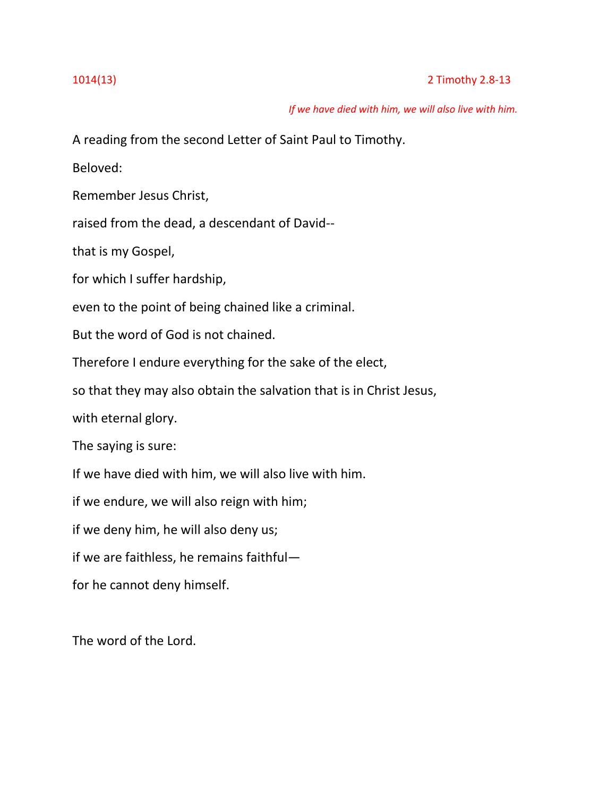# 1014(13) 2 Timothy 2.8-13

 *If we have died with him, we will also live with him.*

A reading from the second Letter of Saint Paul to Timothy.

Beloved:

Remember Jesus Christ,

raised from the dead, a descendant of David--

that is my Gospel,

for which I suffer hardship,

even to the point of being chained like a criminal.

But the word of God is not chained.

Therefore I endure everything for the sake of the elect,

so that they may also obtain the salvation that is in Christ Jesus,

with eternal glory.

The saying is sure:

If we have died with him, we will also live with him.

if we endure, we will also reign with him;

if we deny him, he will also deny us;

if we are faithless, he remains faithful—

for he cannot deny himself.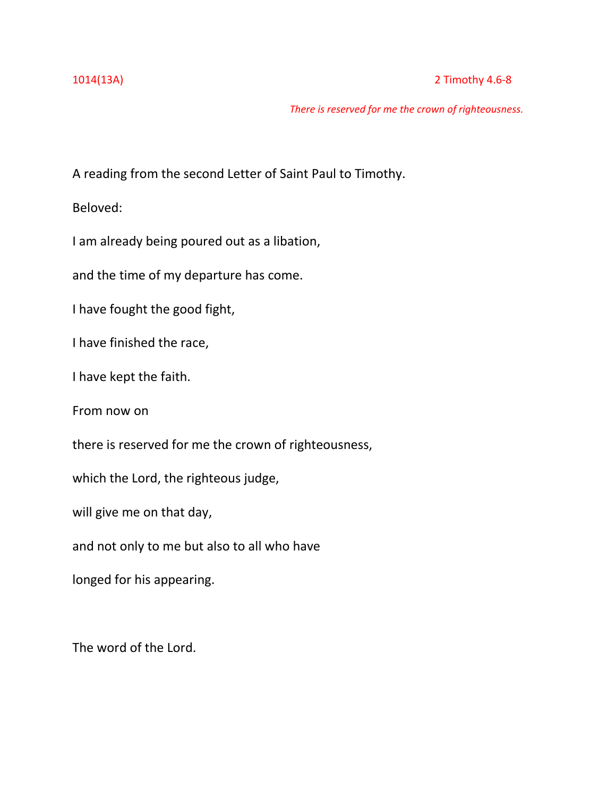# 1014(13A) 2 Timothy 4.6-8

*There is reserved for me the crown of righteousness.*

A reading from the second Letter of Saint Paul to Timothy.

Beloved:

I am already being poured out as a libation,

and the time of my departure has come.

I have fought the good fight,

I have finished the race,

I have kept the faith.

From now on

there is reserved for me the crown of righteousness,

which the Lord, the righteous judge,

will give me on that day,

and not only to me but also to all who have

longed for his appearing.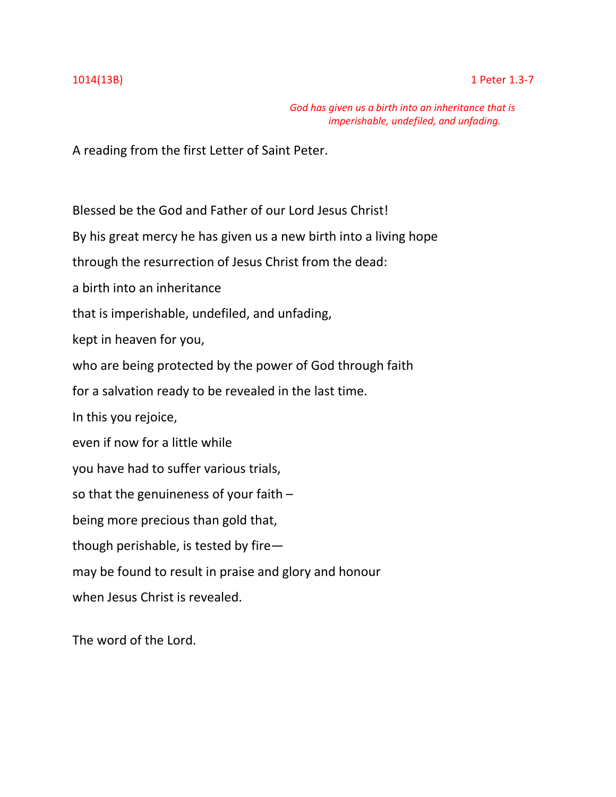*God has given us a birth into an inheritance that is imperishable, undefiled, and unfading.*

A reading from the first Letter of Saint Peter.

Blessed be the God and Father of our Lord Jesus Christ!

By his great mercy he has given us a new birth into a living hope

through the resurrection of Jesus Christ from the dead:

a birth into an inheritance

that is imperishable, undefiled, and unfading,

kept in heaven for you,

who are being protected by the power of God through faith

for a salvation ready to be revealed in the last time.

In this you rejoice,

even if now for a little while

you have had to suffer various trials,

so that the genuineness of your faith –

being more precious than gold that,

though perishable, is tested by fire—

may be found to result in praise and glory and honour

when Jesus Christ is revealed.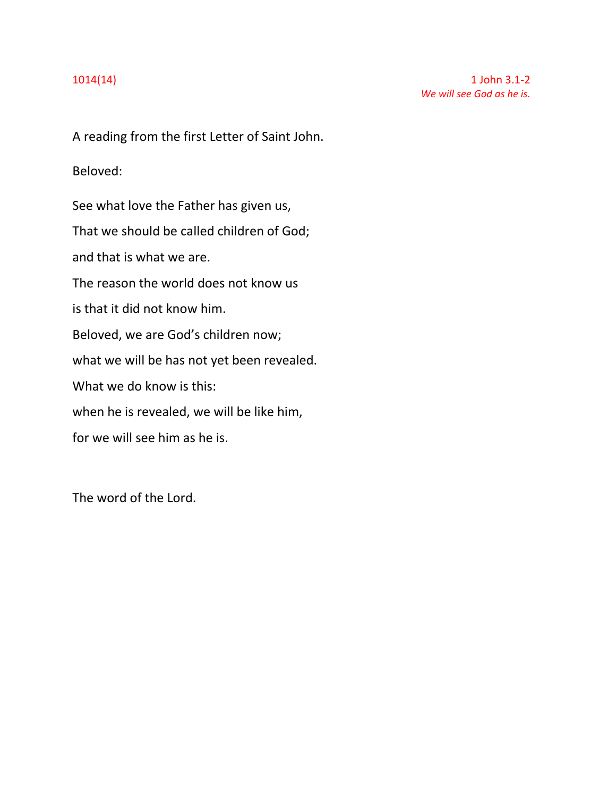A reading from the first Letter of Saint John.

Beloved:

See what love the Father has given us, That we should be called children of God; and that is what we are. The reason the world does not know us is that it did not know him. Beloved, we are God's children now; what we will be has not yet been revealed. What we do know is this: when he is revealed, we will be like him, for we will see him as he is.